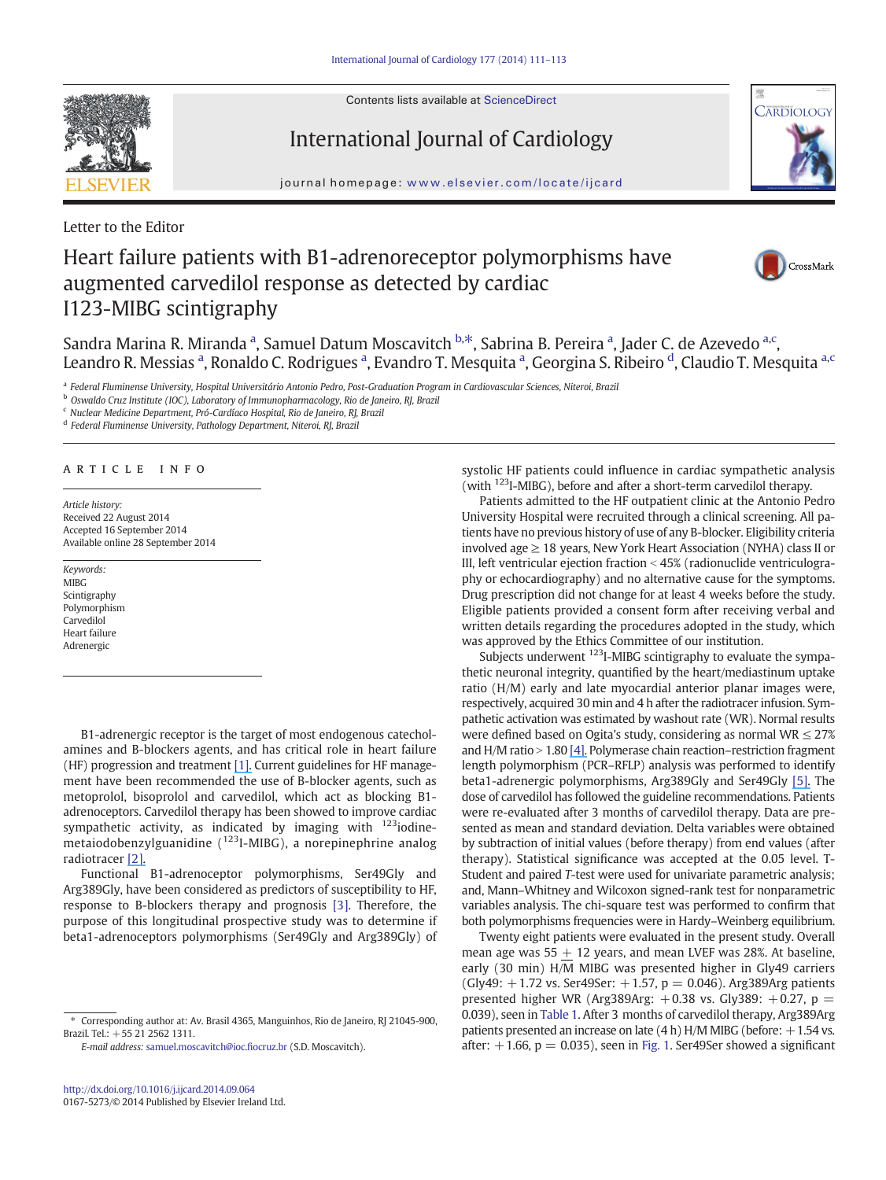Contents lists available at ScienceDirect



International Journal of Cardiology



journal homepage: www.elsevier.com/locate/ijcard

Letter to the Editor

## Heart failure patients with B1-adrenoreceptor polymorphisms have augmented carvedilol response as detected by cardiac I123-MIBG scintigraphy



Sandra Marina R. Miranda <sup>a</sup>, Samuel Datum Moscavitch <sup>b,\*</sup>, Sabrina B. Pereira <sup>a</sup>, Jader C. de Azevedo <sup>a,c</sup>, Leandro R. Messias <sup>a</sup>, Ronaldo C. Rodrigues <sup>a</sup>, Evandro T. Mesquita <sup>a</sup>, Georgina S. Ribeiro <sup>d</sup>, Claudio T. Mesquita <sup>a,c</sup>

a Federal Fluminense University, Hospital Universitário Antonio Pedro, Post-Graduation Program in Cardiovascular Sciences, Niteroi, Brazil

<sup>b</sup> Oswaldo Cruz Institute (IOC), Laboratory of Immunopharmacology, Rio de Janeiro, RJ, Brazil

<sup>c</sup> Nuclear Medicine Department, Pró-Cardíaco Hospital, Rio de Janeiro, RJ, Brazil

<sup>d</sup> Federal Fluminense University, Pathology Department, Niteroi, RJ, Brazil

article info

Article history: Received 22 August 2014 Accepted 16 September 2014 Available online 28 September 2014

Keywords: MIR<sub>G</sub> Scintigraphy Polymorphism **Carvedilol** Heart failure Adrenergic

B1-adrenergic receptor is the target of most endogenous catecholamines and B-blockers agents, and has critical role in heart failure (HF) progression and treatment [1]. Current guidelines for HF management have been recommended the use of B-blocker agents, such as metoprolol, bisoprolol and carvedilol, which act as blocking B1 adrenoceptors. Carvedilol therapy has been showed to improve cardiac sympathetic activity, as indicated by imaging with <sup>123</sup>iodinemetaiodobenzylguanidine  $(^{123}$ I-MIBG), a norepinephrine analog radiotracer [2].

Functional B1-adrenoceptor polymorphisms, Ser49Gly and Arg389Gly, have been considered as predictors of susceptibility to HF, response to B-blockers therapy and prognosis [3]. Therefore, the purpose of this longitudinal prospective study was to determine if beta1-adrenoceptors polymorphisms (Ser49Gly and Arg389Gly) of systolic HF patients could influence in cardiac sympathetic analysis (with 123I-MIBG), before and after a short-term carvedilol therapy.

Patients admitted to the HF outpatient clinic at the Antonio Pedro University Hospital were recruited through a clinical screening. All patients have no previous history of use of any B-blocker. Eligibility criteria involved age  $\geq$  18 years, New York Heart Association (NYHA) class II or III, left ventricular ejection fraction  $<$  45% (radionuclide ventriculography or echocardiography) and no alternative cause for the symptoms. Drug prescription did not change for at least 4 weeks before the study. Eligible patients provided a consent form after receiving verbal and written details regarding the procedures adopted in the study, which was approved by the Ethics Committee of our institution.

Subjects underwent <sup>123</sup>I-MIBG scintigraphy to evaluate the sympathetic neuronal integrity, quantified by the heart/mediastinum uptake ratio (H/M) early and late myocardial anterior planar images were, respectively, acquired 30 min and 4 h after the radiotracer infusion. Sympathetic activation was estimated by washout rate (WR). Normal results were defined based on Ogita's study, considering as normal  $WR \leq 27\%$ and  $H/M$  ratio  $> 1.80$  [4]. Polymerase chain reaction–restriction fragment length polymorphism (PCR–RFLP) analysis was performed to identify beta1-adrenergic polymorphisms, Arg389Gly and Ser49Gly [5]. The dose of carvedilol has followed the guideline recommendations. Patients were re-evaluated after 3 months of carvedilol therapy. Data are presented as mean and standard deviation. Delta variables were obtained by subtraction of initial values (before therapy) from end values (after therapy). Statistical significance was accepted at the 0.05 level. T-Student and paired T-test were used for univariate parametric analysis; and, Mann–Whitney and Wilcoxon signed-rank test for nonparametric variables analysis. The chi-square test was performed to confirm that both polymorphisms frequencies were in Hardy–Weinberg equilibrium.

Twenty eight patients were evaluated in the present study. Overall mean age was  $55 + 12$  years, and mean LVEF was 28%. At baseline, early (30 min) H/M MIBG was presented higher in Gly49 carriers  $(Gly49: +1.72 \text{ vs. Ser49}$ Ser:  $+1.57$ ,  $p = 0.046$ ). Arg389Arg patients presented higher WR (Arg389Arg:  $+0.38$  vs. Gly389:  $+0.27$ , p = 0.039), seen in Table 1. After 3 months of carvedilol therapy, Arg389Arg patients presented an increase on late  $(4 h)$  H/M MIBG (before:  $+1.54$  vs. after:  $+1.66$ ,  $p = 0.035$ ), seen in Fig. 1. Ser49Ser showed a significant

Corresponding author at: Av. Brasil 4365, Manguinhos, Rio de Janeiro, RJ 21045-900, Brazil. Tel.: +55 21 2562 1311.

E-mail address: samuel.moscavitch@ioc.fiocruz.br (S.D. Moscavitch).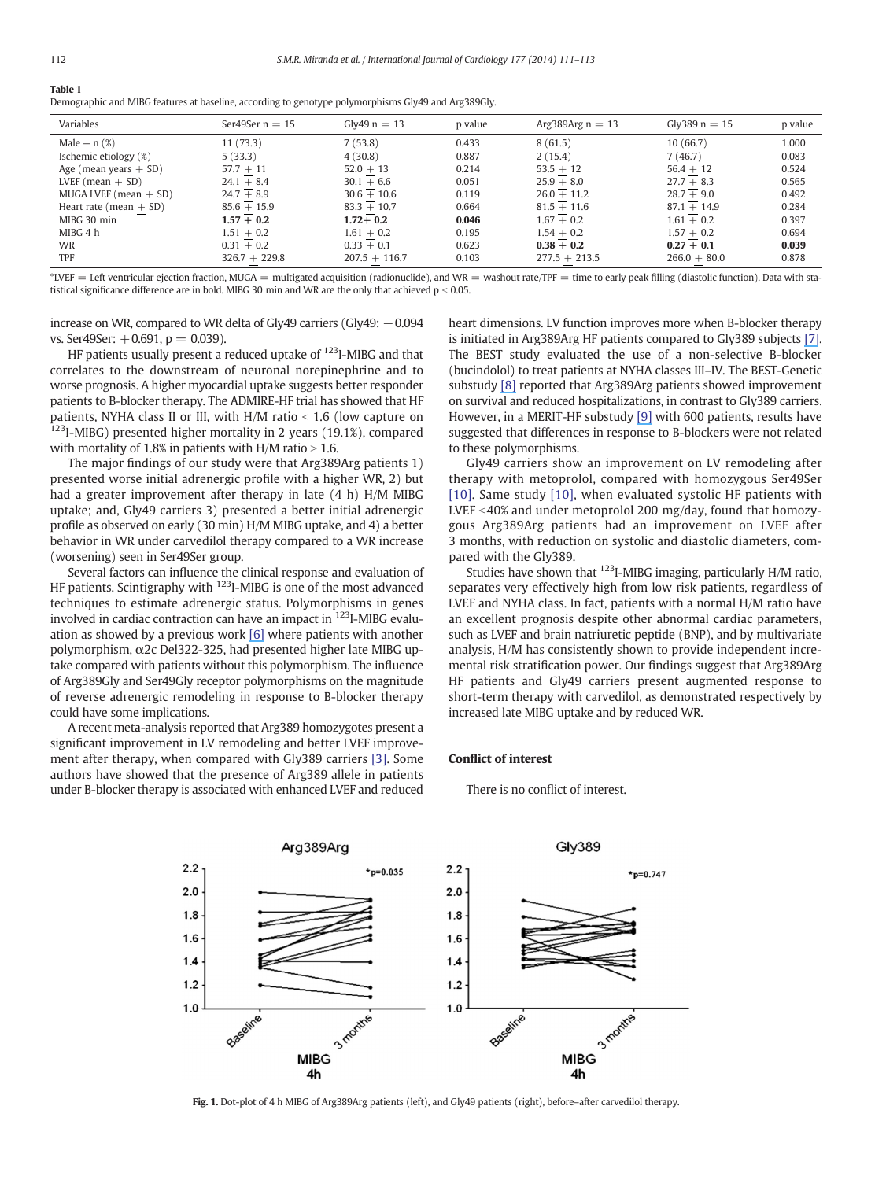|  | $\sim$ |  |
|--|--------|--|
|  |        |  |

Demographic and MIBG features at baseline, according to genotype polymorphisms Gly49 and Arg389Gly.

| Variables                | Ser49Ser $n = 15$ | $Glv49 n = 13$  | p value | Arg389Arg $n = 13$ | Gly389 $n = 15$ | p value |
|--------------------------|-------------------|-----------------|---------|--------------------|-----------------|---------|
| Male $- n$ $(\%)$        | 11(73.3)          | 7(53.8)         | 0.433   | 8(61.5)            | 10(66.7)        | 1.000   |
| Ischemic etiology (%)    | 5(33.3)           | 4(30.8)         | 0.887   | 2(15.4)            | 7(46.7)         | 0.083   |
| Age (mean years $+$ SD)  | $57.7 + 11$       | $52.0 + 13$     | 0.214   | $53.5 + 12$        | $56.4 + 12$     | 0.524   |
| LVEF (mean $+$ SD)       | $24.1 + 8.4$      | $30.1 + 6.6$    | 0.051   | $25.9 + 8.0$       | $27.7 + 8.3$    | 0.565   |
| MUGA LVEF (mean $+$ SD)  | $24.7 + 8.9$      | $30.6 + 10.6$   | 0.119   | $26.0 + 11.2$      | $28.7 + 9.0$    | 0.492   |
| Heart rate (mean $+$ SD) | $85.6 + 15.9$     | $83.3 + 10.7$   | 0.664   | $81.5 + 11.6$      | $87.1 + 14.9$   | 0.284   |
| MIBG 30 min              | $1.57 + 0.2$      | $1.72 + 0.2$    | 0.046   | $1.67 + 0.2$       | $1.61 + 0.2$    | 0.397   |
| MIBG 4 h                 | $1.51 + 0.2$      | $1.61 + 0.2$    | 0.195   | $1.54 + 0.2$       | $1.57 + 0.2$    | 0.694   |
| <b>WR</b>                | $0.31 + 0.2$      | $0.33 + 0.1$    | 0.623   | $0.38 + 0.2$       | $0.27 + 0.1$    | 0.039   |
| TPF                      | $326.7 + 229.8$   | $207.5 + 116.7$ | 0.103   | $277.5 + 213.5$    | $266.0 + 80.0$  | 0.878   |

\*LVEF = Left ventricular ejection fraction, MUGA = multigated acquisition (radionuclide), and WR = washout rate/TPF = time to early peak filling (diastolic function). Data with statistical significance difference are in bold. MIBG 30 min and WR are the only that achieved  $p < 0.05$ .

increase on WR, compared to WR delta of Gly49 carriers (Gly49: −0.094 vs. Ser $49$ Ser:  $+0.691$ ,  $p = 0.039$ ).

HF patients usually present a reduced uptake of <sup>123</sup>I-MIBG and that correlates to the downstream of neuronal norepinephrine and to worse prognosis. A higher myocardial uptake suggests better responder patients to B-blocker therapy. The ADMIRE-HF trial has showed that HF patients, NYHA class II or III, with  $H/M$  ratio  $< 1.6$  (low capture on 123<sub>I</sub>-MIBG) presented higher mortality in 2 years (19.1%), compared with mortality of 1.8% in patients with H/M ratio  $> 1.6$ .

The major findings of our study were that Arg389Arg patients 1) presented worse initial adrenergic profile with a higher WR, 2) but had a greater improvement after therapy in late (4 h) H/M MIBG uptake; and, Gly49 carriers 3) presented a better initial adrenergic profile as observed on early (30 min) H/M MIBG uptake, and 4) a better behavior in WR under carvedilol therapy compared to a WR increase (worsening) seen in Ser49Ser group.

Several factors can influence the clinical response and evaluation of HF patients. Scintigraphy with <sup>123</sup>I-MIBG is one of the most advanced techniques to estimate adrenergic status. Polymorphisms in genes involved in cardiac contraction can have an impact in 123I-MIBG evaluation as showed by a previous work [6] where patients with another polymorphism, α2c Del322-325, had presented higher late MIBG uptake compared with patients without this polymorphism. The influence of Arg389Gly and Ser49Gly receptor polymorphisms on the magnitude of reverse adrenergic remodeling in response to B-blocker therapy could have some implications.

A recent meta-analysis reported that Arg389 homozygotes present a significant improvement in LV remodeling and better LVEF improvement after therapy, when compared with Gly389 carriers [3]. Some authors have showed that the presence of Arg389 allele in patients under B-blocker therapy is associated with enhanced LVEF and reduced heart dimensions. LV function improves more when B-blocker therapy is initiated in Arg389Arg HF patients compared to Gly389 subjects [7]. The BEST study evaluated the use of a non-selective B-blocker (bucindolol) to treat patients at NYHA classes III–IV. The BEST-Genetic substudy [8] reported that Arg389Arg patients showed improvement on survival and reduced hospitalizations, in contrast to Gly389 carriers. However, in a MERIT-HF substudy [9] with 600 patients, results have suggested that differences in response to B-blockers were not related to these polymorphisms.

Gly49 carriers show an improvement on LV remodeling after therapy with metoprolol, compared with homozygous Ser49Ser [10]. Same study [10], when evaluated systolic HF patients with LVEF  $<$  40% and under metoprolol 200 mg/day, found that homozygous Arg389Arg patients had an improvement on LVEF after 3 months, with reduction on systolic and diastolic diameters, compared with the Gly389.

Studies have shown that  $^{123}$ I-MIBG imaging, particularly H/M ratio, separates very effectively high from low risk patients, regardless of LVEF and NYHA class. In fact, patients with a normal H/M ratio have an excellent prognosis despite other abnormal cardiac parameters, such as LVEF and brain natriuretic peptide (BNP), and by multivariate analysis, H/M has consistently shown to provide independent incremental risk stratification power. Our findings suggest that Arg389Arg HF patients and Gly49 carriers present augmented response to short-term therapy with carvedilol, as demonstrated respectively by increased late MIBG uptake and by reduced WR.

## Conflict of interest

There is no conflict of interest.



Fig. 1. Dot-plot of 4 h MIBG of Arg389Arg patients (left), and Gly49 patients (right), before–after carvedilol therapy.